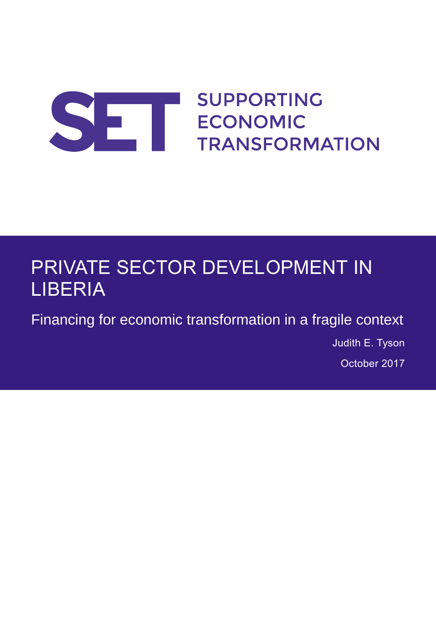# **SUPPORTING** SE ECONOMIC **TRANSFORMATION**

# PRIVATE SECTOR DEVELOPMENT IN LIBERIA

Financing for economic transformation in a fragile context

Judith E. Tyson October 2017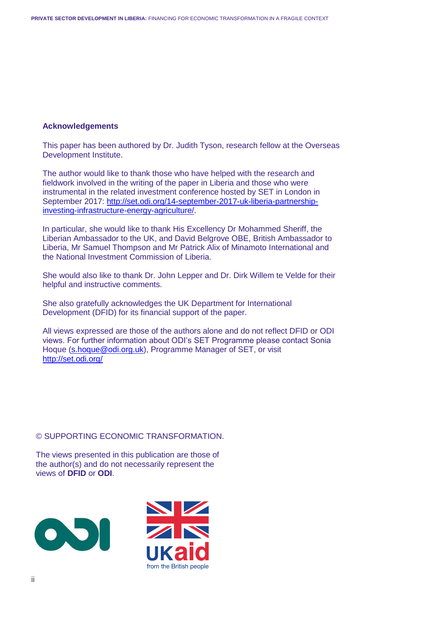#### **Acknowledgements**

This paper has been authored by Dr. Judith Tyson, research fellow at the Overseas Development Institute.

The author would like to thank those who have helped with the research and fieldwork involved in the writing of the paper in Liberia and those who were instrumental in the related investment conference hosted by SET in London in September 2017: [http://set.odi.org/14-september-2017-uk-liberia-partnership](http://set.odi.org/14-september-2017-uk-liberia-partnership-investing-infrastructure-energy-agriculture/)[investing-infrastructure-energy-agriculture/.](http://set.odi.org/14-september-2017-uk-liberia-partnership-investing-infrastructure-energy-agriculture/)

In particular, she would like to thank His Excellency Dr Mohammed Sheriff, the Liberian Ambassador to the UK, and David Belgrove OBE, British Ambassador to Liberia, Mr Samuel Thompson and Mr Patrick Alix of Minamoto International and the National Investment Commission of Liberia.

She would also like to thank Dr. John Lepper and Dr. Dirk Willem te Velde for their helpful and instructive comments.

She also gratefully acknowledges the UK Department for International Development (DFID) for its financial support of the paper.

All views expressed are those of the authors alone and do not reflect DFID or ODI views. For further information about ODI's SET Programme please contact Sonia Hoque [\(s.hoque@odi.org.uk\)](mailto:s.hoque@odi.org.uk), Programme Manager of SET, or visit <http://set.odi.org/>

#### © SUPPORTING ECONOMIC TRANSFORMATION.

The views presented in this publication are those of the author(s) and do not necessarily represent the views of **DFID** or **ODI**.



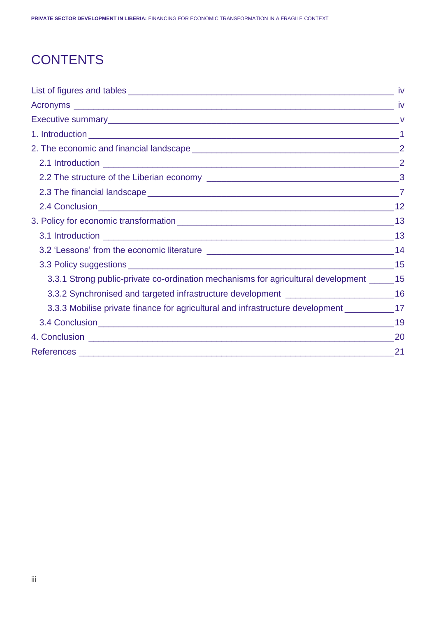## **CONTENTS**

| 3.3.1 Strong public-private co-ordination mechanisms for agricultural development ______ 15   |      |
|-----------------------------------------------------------------------------------------------|------|
| 3.3.2 Synchronised and targeted infrastructure development ______________________16           |      |
| 3.3.3 Mobilise private finance for agricultural and infrastructure development ____________17 |      |
|                                                                                               |      |
|                                                                                               |      |
|                                                                                               | $21$ |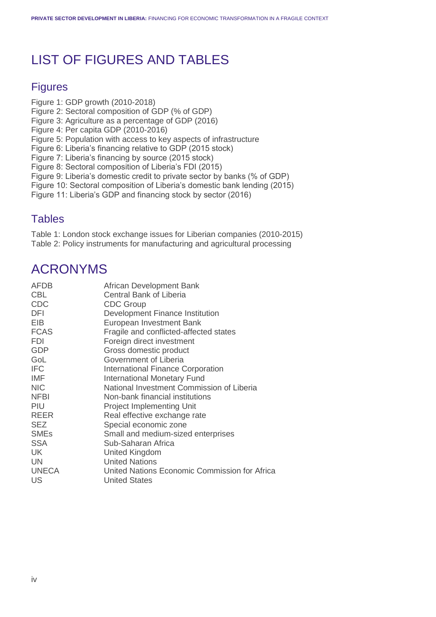## LIST OF FIGURES AND TABLES

## **Figures**

- Figure 1: GDP growth (2010-2018)
- Figure 2: Sectoral composition of GDP (% of GDP)
- Figure 3: Agriculture as a percentage of GDP (2016)
- Figure 4: Per capita GDP (2010-2016)
- Figure 5: Population with access to key aspects of infrastructure
- Figure 6: Liberia's financing relative to GDP (2015 stock)
- Figure 7: Liberia's financing by source (2015 stock)
- Figure 8: Sectoral composition of Liberia's FDI (2015)
- Figure 9: Liberia's domestic credit to private sector by banks (% of GDP)
- Figure 10: Sectoral composition of Liberia's domestic bank lending (2015)
- Figure 11: Liberia's GDP and financing stock by sector (2016)

### **Tables**

Table 1: London stock exchange issues for Liberian companies (2010-2015) Table 2: Policy instruments for manufacturing and agricultural processing

## ACRONYMS

| <b>AFDB</b>  | African Development Bank                      |
|--------------|-----------------------------------------------|
| <b>CBL</b>   | <b>Central Bank of Liberia</b>                |
| <b>CDC</b>   | <b>CDC Group</b>                              |
| <b>DFI</b>   | Development Finance Institution               |
| EIB          | European Investment Bank                      |
| <b>FCAS</b>  | Fragile and conflicted-affected states        |
| <b>FDI</b>   | Foreign direct investment                     |
| <b>GDP</b>   | Gross domestic product                        |
| GoL          | Government of Liberia                         |
| <b>IFC</b>   | <b>International Finance Corporation</b>      |
| <b>IMF</b>   | <b>International Monetary Fund</b>            |
| <b>NIC</b>   | National Investment Commission of Liberia     |
| <b>NFBI</b>  | Non-bank financial institutions               |
| <b>PIU</b>   | <b>Project Implementing Unit</b>              |
| <b>REER</b>  | Real effective exchange rate                  |
| <b>SEZ</b>   | Special economic zone                         |
| <b>SMEs</b>  | Small and medium-sized enterprises            |
| <b>SSA</b>   | Sub-Saharan Africa                            |
| <b>UK</b>    | United Kingdom                                |
| UN.          | <b>United Nations</b>                         |
| <b>UNECA</b> | United Nations Economic Commission for Africa |
| US           | <b>United States</b>                          |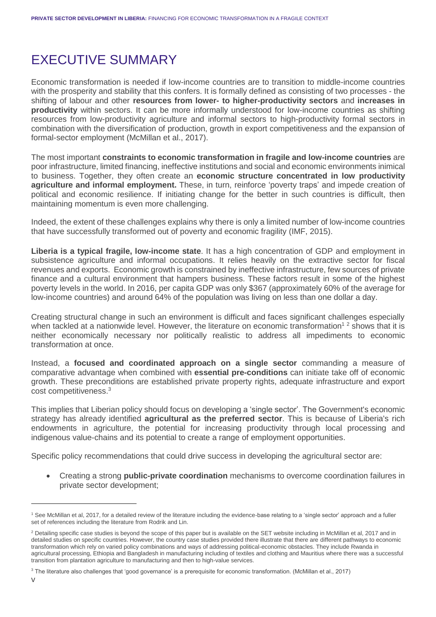## EXECUTIVE SUMMARY

Economic transformation is needed if low-income countries are to transition to middle-income countries with the prosperity and stability that this confers. It is formally defined as consisting of two processes - the shifting of labour and other **resources from lower- to higher-productivity sectors** and **increases in productivity** within sectors. It can be more informally understood for low-income countries as shifting resources from low-productivity agriculture and informal sectors to high-productivity formal sectors in combination with the diversification of production, growth in export competitiveness and the expansion of formal-sector employment (McMillan et al., 2017).

The most important **constraints to economic transformation in fragile and low-income countries** are poor infrastructure, limited financing, ineffective institutions and social and economic environments inimical to business. Together, they often create an **economic structure concentrated in low productivity agriculture and informal employment.** These, in turn, reinforce 'poverty traps' and impede creation of political and economic resilience. If initiating change for the better in such countries is difficult, then maintaining momentum is even more challenging.

Indeed, the extent of these challenges explains why there is only a limited number of low-income countries that have successfully transformed out of poverty and economic fragility (IMF, 2015).

**Liberia is a typical fragile, low-income state**. It has a high concentration of GDP and employment in subsistence agriculture and informal occupations. It relies heavily on the extractive sector for fiscal revenues and exports. Economic growth is constrained by ineffective infrastructure, few sources of private finance and a cultural environment that hampers business. These factors result in some of the highest poverty levels in the world. In 2016, per capita GDP was only \$367 (approximately 60% of the average for low-income countries) and around 64% of the population was living on less than one dollar a day.

Creating structural change in such an environment is difficult and faces significant challenges especially when tackled at a nationwide level. However, the literature on economic transformation<sup>12</sup> shows that it is neither economically necessary nor politically realistic to address all impediments to economic transformation at once.

Instead, a **focused and coordinated approach on a single sector** commanding a measure of comparative advantage when combined with **essential pre-conditions** can initiate take off of economic growth. These preconditions are established private property rights, adequate infrastructure and export cost competitiveness.<sup>3</sup>

This implies that Liberian policy should focus on developing a 'single sector'. The Government's economic strategy has already identified **agricultural as the preferred sector**. This is because of Liberia's rich endowments in agriculture, the potential for increasing productivity through local processing and indigenous value-chains and its potential to create a range of employment opportunities.

Specific policy recommendations that could drive success in developing the agricultural sector are:

• Creating a strong **public-private coordination** mechanisms to overcome coordination failures in private sector development;

<sup>1</sup> See McMillan et al, 2017, for a detailed review of the literature including the evidence-base relating to a 'single sector' approach and a fuller set of references including the literature from Rodrik and Lin.

<sup>&</sup>lt;sup>2</sup> Detailing specific case studies is beyond the scope of this paper but is available on the SET website including in McMillan et al, 2017 and in detailed studies on specific countries. However, the country case studies provided there illustrate that there are different pathways to economic transformation which rely on varied policy combinations and ways of addressing political-economic obstacles. They include Rwanda in agricultural processing, Ethiopia and Bangladesh in manufacturing including of textiles and clothing and Mauritius where there was a successful transition from plantation agriculture to manufacturing and then to high-value services.

<sup>&</sup>lt;sup>3</sup> The literature also challenges that 'good governance' is a prerequisite for economic transformation. (McMillan et al., 2017)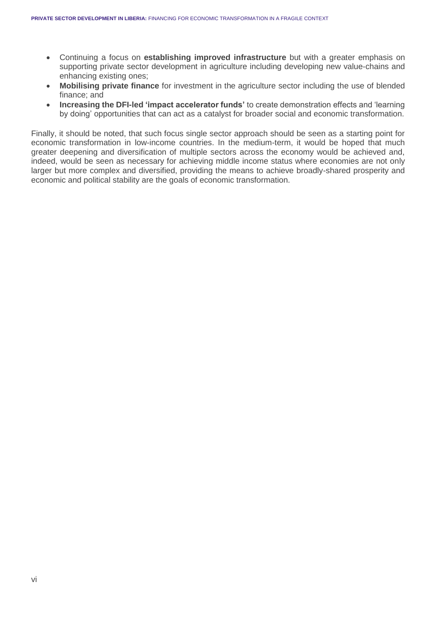- Continuing a focus on **establishing improved infrastructure** but with a greater emphasis on supporting private sector development in agriculture including developing new value-chains and enhancing existing ones;
- **Mobilising private finance** for investment in the agriculture sector including the use of blended finance; and
- **Increasing the DFI-led 'impact accelerator funds'** to create demonstration effects and 'learning by doing' opportunities that can act as a catalyst for broader social and economic transformation.

Finally, it should be noted, that such focus single sector approach should be seen as a starting point for economic transformation in low-income countries. In the medium-term, it would be hoped that much greater deepening and diversification of multiple sectors across the economy would be achieved and, indeed, would be seen as necessary for achieving middle income status where economies are not only larger but more complex and diversified, providing the means to achieve broadly-shared prosperity and economic and political stability are the goals of economic transformation.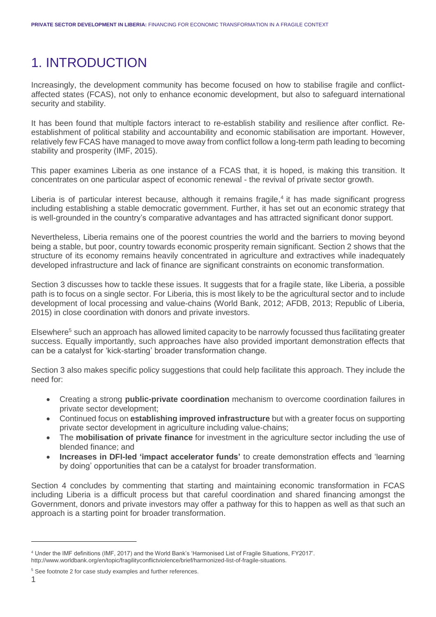## 1. INTRODUCTION

Increasingly, the development community has become focused on how to stabilise fragile and conflictaffected states (FCAS), not only to enhance economic development, but also to safeguard international security and stability.

It has been found that multiple factors interact to re-establish stability and resilience after conflict. Reestablishment of political stability and accountability and economic stabilisation are important. However, relatively few FCAS have managed to move away from conflict follow a long-term path leading to becoming stability and prosperity (IMF, 2015).

This paper examines Liberia as one instance of a FCAS that, it is hoped, is making this transition. It concentrates on one particular aspect of economic renewal - the revival of private sector growth.

Liberia is of particular interest because, although it remains fragile,<sup>4</sup> it has made significant progress including establishing a stable democratic government. Further, it has set out an economic strategy that is well-grounded in the country's comparative advantages and has attracted significant donor support.

Nevertheless, Liberia remains one of the poorest countries the world and the barriers to moving beyond being a stable, but poor, country towards economic prosperity remain significant. Section 2 shows that the structure of its economy remains heavily concentrated in agriculture and extractives while inadequately developed infrastructure and lack of finance are significant constraints on economic transformation.

Section 3 discusses how to tackle these issues. It suggests that for a fragile state, like Liberia, a possible path is to focus on a single sector. For Liberia, this is most likely to be the agricultural sector and to include development of local processing and value-chains (World Bank, 2012; AFDB, 2013; Republic of Liberia, 2015) in close coordination with donors and private investors.

Elsewhere<sup>5</sup> such an approach has allowed limited capacity to be narrowly focussed thus facilitating greater success. Equally importantly, such approaches have also provided important demonstration effects that can be a catalyst for 'kick-starting' broader transformation change.

Section 3 also makes specific policy suggestions that could help facilitate this approach. They include the need for:

- Creating a strong **public-private coordination** mechanism to overcome coordination failures in private sector development;
- Continued focus on **establishing improved infrastructure** but with a greater focus on supporting private sector development in agriculture including value-chains;
- The **mobilisation of private finance** for investment in the agriculture sector including the use of blended finance; and
- **Increases in DFI-led 'impact accelerator funds'** to create demonstration effects and 'learning by doing' opportunities that can be a catalyst for broader transformation.

Section 4 concludes by commenting that starting and maintaining economic transformation in FCAS including Liberia is a difficult process but that careful coordination and shared financing amongst the Government, donors and private investors may offer a pathway for this to happen as well as that such an approach is a starting point for broader transformation.

<sup>4</sup> Under the IMF definitions (IMF, 2017) and the World Bank's 'Harmonised List of Fragile Situations, FY2017'. http://www.worldbank.org/en/topic/fragilityconflictviolence/brief/harmonized-list-of-fragile-situations.

<sup>&</sup>lt;sup>5</sup> See footnote 2 for case study examples and further references.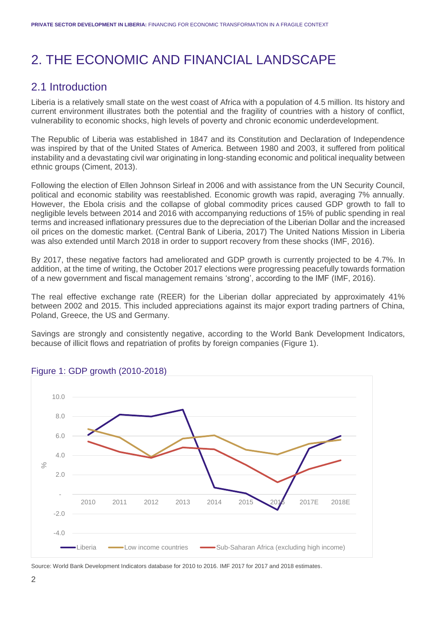## 2. THE ECONOMIC AND FINANCIAL LANDSCAPE

### 2.1 Introduction

Liberia is a relatively small state on the west coast of Africa with a population of 4.5 million. Its history and current environment illustrates both the potential and the fragility of countries with a history of conflict, vulnerability to economic shocks, high levels of poverty and chronic economic underdevelopment.

The Republic of Liberia was established in 1847 and its Constitution and Declaration of Independence was inspired by that of the United States of America. Between 1980 and 2003, it suffered from political instability and a devastating civil war originating in long-standing economic and political inequality between ethnic groups (Ciment, 2013).

Following the election of Ellen Johnson Sirleaf in 2006 and with assistance from the UN Security Council, political and economic stability was reestablished. Economic growth was rapid, averaging 7% annually. However, the Ebola crisis and the collapse of global commodity prices caused GDP growth to fall to negligible levels between 2014 and 2016 with accompanying reductions of 15% of public spending in real terms and increased inflationary pressures due to the depreciation of the Liberian Dollar and the increased oil prices on the domestic market. (Central Bank of Liberia, 2017) The United Nations Mission in Liberia was also extended until March 2018 in order to support recovery from these shocks (IMF, 2016).

By 2017, these negative factors had ameliorated and GDP growth is currently projected to be 4.7%. In addition, at the time of writing, the October 2017 elections were progressing peacefully towards formation of a new government and fiscal management remains 'strong', according to the IMF (IMF, 2016).

The real effective exchange rate (REER) for the Liberian dollar appreciated by approximately 41% between 2002 and 2015. This included appreciations against its major export trading partners of China, Poland, Greece, the US and Germany.

Savings are strongly and consistently negative, according to the World Bank Development Indicators, because of illicit flows and repatriation of profits by foreign companies (Figure 1).



#### Figure 1: GDP growth (2010-2018)

Source: World Bank Development Indicators database for 2010 to 2016. IMF 2017 for 2017 and 2018 estimates.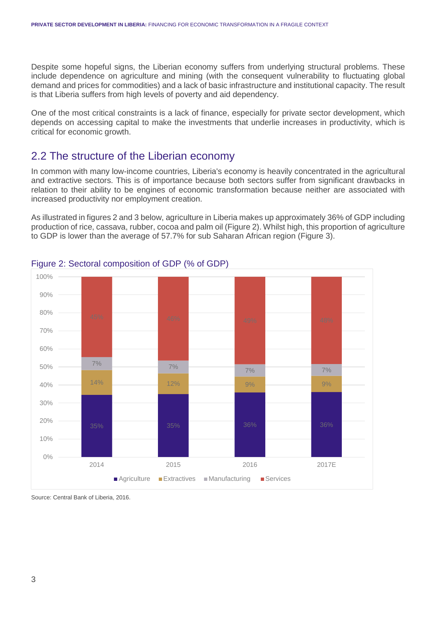Despite some hopeful signs, the Liberian economy suffers from underlying structural problems. These include dependence on agriculture and mining (with the consequent vulnerability to fluctuating global demand and prices for commodities) and a lack of basic infrastructure and institutional capacity. The result is that Liberia suffers from high levels of poverty and aid dependency.

One of the most critical constraints is a lack of finance, especially for private sector development, which depends on accessing capital to make the investments that underlie increases in productivity, which is critical for economic growth.

### 2.2 The structure of the Liberian economy

In common with many low-income countries, Liberia's economy is heavily concentrated in the agricultural and extractive sectors. This is of importance because both sectors suffer from significant drawbacks in relation to their ability to be engines of economic transformation because neither are associated with increased productivity nor employment creation.

As illustrated in figures 2 and 3 below, agriculture in Liberia makes up approximately 36% of GDP including production of rice, cassava, rubber, cocoa and palm oil (Figure 2). Whilst high, this proportion of agriculture to GDP is lower than the average of 57.7% for sub Saharan African region (Figure 3).



#### Figure 2: Sectoral composition of GDP (% of GDP)

Source: Central Bank of Liberia, 2016.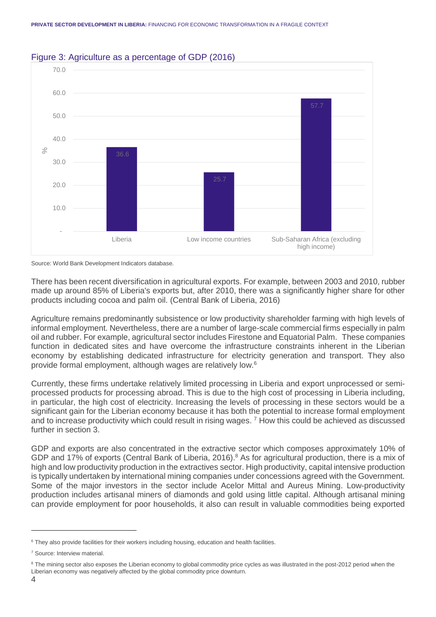

#### Figure 3: Agriculture as a percentage of GDP (2016)

There has been recent diversification in agricultural exports. For example, between 2003 and 2010, rubber made up around 85% of Liberia's exports but, after 2010, there was a significantly higher share for other products including cocoa and palm oil. (Central Bank of Liberia, 2016)

Agriculture remains predominantly subsistence or low productivity shareholder farming with high levels of informal employment. Nevertheless, there are a number of large-scale commercial firms especially in palm oil and rubber. For example, agricultural sector includes Firestone and Equatorial Palm. These companies function in dedicated sites and have overcome the infrastructure constraints inherent in the Liberian economy by establishing dedicated infrastructure for electricity generation and transport. They also provide formal employment, although wages are relatively low. 6

Currently, these firms undertake relatively limited processing in Liberia and export unprocessed or semiprocessed products for processing abroad. This is due to the high cost of processing in Liberia including, in particular, the high cost of electricity. Increasing the levels of processing in these sectors would be a significant gain for the Liberian economy because it has both the potential to increase formal employment and to increase productivity which could result in rising wages. <sup>7</sup> How this could be achieved as discussed further in section 3.

GDP and exports are also concentrated in the extractive sector which composes approximately 10% of GDP and 17% of exports (Central Bank of Liberia, 2016).<sup>8</sup> As for agricultural production, there is a mix of high and low productivity production in the extractives sector. High productivity, capital intensive production is typically undertaken by international mining companies under concessions agreed with the Government. Some of the major investors in the sector include Acelor Mittal and Aureus Mining. Low-productivity production includes artisanal miners of diamonds and gold using little capital. Although artisanal mining can provide employment for poor households, it also can result in valuable commodities being exported

Source: World Bank Development Indicators database.

<sup>&</sup>lt;sup>6</sup> They also provide facilities for their workers including housing, education and health facilities.

<sup>7</sup> Source: Interview material.

<sup>&</sup>lt;sup>8</sup> The mining sector also exposes the Liberian economy to global commodity price cycles as was illustrated in the post-2012 period when the Liberian economy was negatively affected by the global commodity price downturn.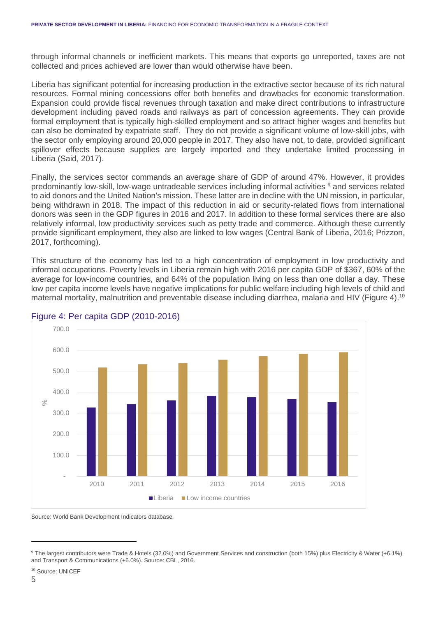through informal channels or inefficient markets. This means that exports go unreported, taxes are not collected and prices achieved are lower than would otherwise have been.

Liberia has significant potential for increasing production in the extractive sector because of its rich natural resources. Formal mining concessions offer both benefits and drawbacks for economic transformation. Expansion could provide fiscal revenues through taxation and make direct contributions to infrastructure development including paved roads and railways as part of concession agreements. They can provide formal employment that is typically high-skilled employment and so attract higher wages and benefits but can also be dominated by expatriate staff. They do not provide a significant volume of low-skill jobs, with the sector only employing around 20,000 people in 2017. They also have not, to date, provided significant spillover effects because supplies are largely imported and they undertake limited processing in Liberia (Said, 2017).

Finally, the services sector commands an average share of GDP of around 47%. However, it provides predominantly low-skill, low-wage untradeable services including informal activities <sup>9</sup> and services related to aid donors and the United Nation's mission. These latter are in decline with the UN mission, in particular, being withdrawn in 2018. The impact of this reduction in aid or security-related flows from international donors was seen in the GDP figures in 2016 and 2017. In addition to these formal services there are also relatively informal, low productivity services such as petty trade and commerce. Although these currently provide significant employment, they also are linked to low wages (Central Bank of Liberia, 2016; Prizzon, 2017, forthcoming).

This structure of the economy has led to a high concentration of employment in low productivity and informal occupations. Poverty levels in Liberia remain high with 2016 per capita GDP of \$367, 60% of the average for low-income countries, and 64% of the population living on less than one dollar a day. These low per capita income levels have negative implications for public welfare including high levels of child and maternal mortality, malnutrition and preventable disease including diarrhea, malaria and HIV (Figure 4).<sup>10</sup>



#### Figure 4: Per capita GDP (2010-2016)

Source: World Bank Development Indicators database.

<sup>9</sup> The largest contributors were Trade & Hotels (32.0%) and Government Services and construction (both 15%) plus Electricity & Water (+6.1%) and Transport & Communications (+6.0%). Source: CBL, 2016.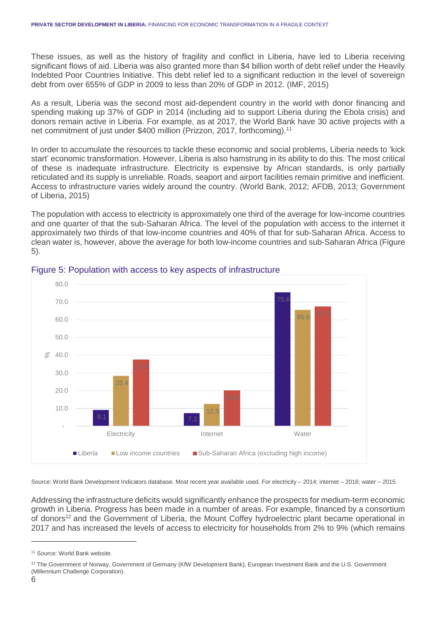These issues, as well as the history of fragility and conflict in Liberia, have led to Liberia receiving significant flows of aid. Liberia was also granted more than \$4 billion worth of debt relief under the Heavily Indebted Poor Countries Initiative. This debt relief led to a significant reduction in the level of sovereign debt from over 655% of GDP in 2009 to less than 20% of GDP in 2012. (IMF, 2015)

As a result, Liberia was the second most aid-dependent country in the world with donor financing and spending making up 37% of GDP in 2014 (including aid to support Liberia during the Ebola crisis) and donors remain active in Liberia. For example, as at 2017, the World Bank have 30 active projects with a net commitment of just under \$400 million (Prizzon, 2017, forthcoming).<sup>11</sup>

In order to accumulate the resources to tackle these economic and social problems, Liberia needs to 'kick start' economic transformation. However, Liberia is also hamstrung in its ability to do this. The most critical of these is inadequate infrastructure. Electricity is expensive by African standards, is only partially reticulated and its supply is unreliable. Roads, seaport and airport facilities remain primitive and inefficient. Access to infrastructure varies widely around the country. (World Bank, 2012; AFDB, 2013; Government of Liberia, 2015)

The population with access to electricity is approximately one third of the average for low-income countries and one quarter of that the sub-Saharan Africa. The level of the population with access to the internet it approximately two thirds of that low-income countries and 40% of that for sub-Saharan Africa. Access to clean water is, however, above the average for both low-income countries and sub-Saharan Africa (Figure 5).



#### Figure 5: Population with access to key aspects of infrastructure

Source: World Bank Development Indicators database. Most recent year available used. For electricity – 2014; internet – 2016; water – 2015.

Addressing the infrastructure deficits would significantly enhance the prospects for medium-term economic growth in Liberia. Progress has been made in a number of areas. For example, financed by a consortium of donors<sup>12</sup> and the Government of Liberia, the Mount Coffey hydroelectric plant became operational in 2017 and has increased the levels of access to electricity for households from 2% to 9% (which remains

<sup>&</sup>lt;sup>11</sup> Source: World Bank website.

<sup>&</sup>lt;sup>12</sup> The Government of Norway, Government of Germany (KfW Development Bank), European Investment Bank and the U.S. Government (Millennium Challenge Corporation).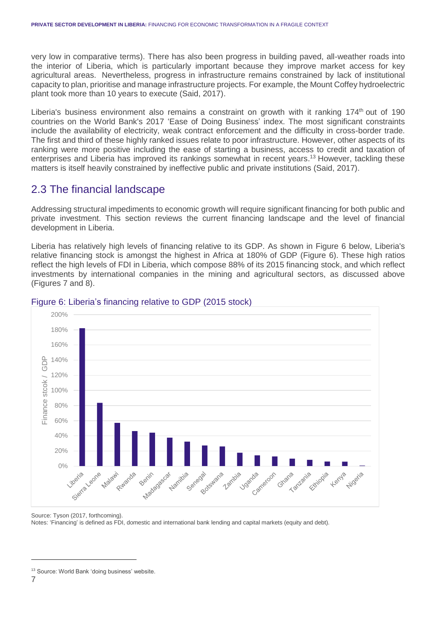very low in comparative terms). There has also been progress in building paved, all-weather roads into the interior of Liberia, which is particularly important because they improve market access for key agricultural areas. Nevertheless, progress in infrastructure remains constrained by lack of institutional capacity to plan, prioritise and manage infrastructure projects. For example, the Mount Coffey hydroelectric plant took more than 10 years to execute (Said, 2017).

Liberia's business environment also remains a constraint on growth with it ranking  $174<sup>th</sup>$  out of 190 countries on the World Bank's 2017 'Ease of Doing Business' index. The most significant constraints include the availability of electricity, weak contract enforcement and the difficulty in cross-border trade. The first and third of these highly ranked issues relate to poor infrastructure. However, other aspects of its ranking were more positive including the ease of starting a business, access to credit and taxation of enterprises and Liberia has improved its rankings somewhat in recent years. <sup>13</sup> However, tackling these matters is itself heavily constrained by ineffective public and private institutions (Said, 2017).

### 2.3 The financial landscape

Addressing structural impediments to economic growth will require significant financing for both public and private investment. This section reviews the current financing landscape and the level of financial development in Liberia.

Liberia has relatively high levels of financing relative to its GDP. As shown in Figure 6 below, Liberia's relative financing stock is amongst the highest in Africa at 180% of GDP (Figure 6). These high ratios reflect the high levels of FDI in Liberia, which compose 88% of its 2015 financing stock, and which reflect investments by international companies in the mining and agricultural sectors, as discussed above (Figures 7 and 8).



#### Figure 6: Liberia's financing relative to GDP (2015 stock)

Source: Tyson (2017, forthcoming). Notes: 'Financing' is defined as FDI, domestic and international bank lending and capital markets (equity and debt).

<sup>&</sup>lt;sup>13</sup> Source: World Bank 'doing business' website.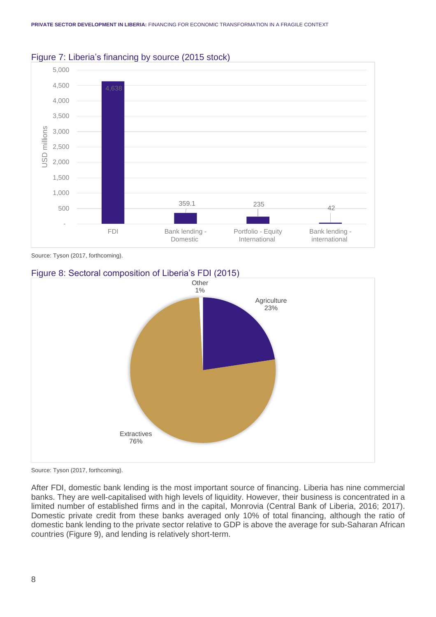

#### Figure 7: Liberia's financing by source (2015 stock)

Source: Tyson (2017, forthcoming).

#### Figure 8: Sectoral composition of Liberia's FDI (2015)



Source: Tyson (2017, forthcoming).

After FDI, domestic bank lending is the most important source of financing. Liberia has nine commercial banks. They are well-capitalised with high levels of liquidity. However, their business is concentrated in a limited number of established firms and in the capital, Monrovia (Central Bank of Liberia, 2016; 2017). Domestic private credit from these banks averaged only 10% of total financing, although the ratio of domestic bank lending to the private sector relative to GDP is above the average for sub-Saharan African countries (Figure 9), and lending is relatively short-term.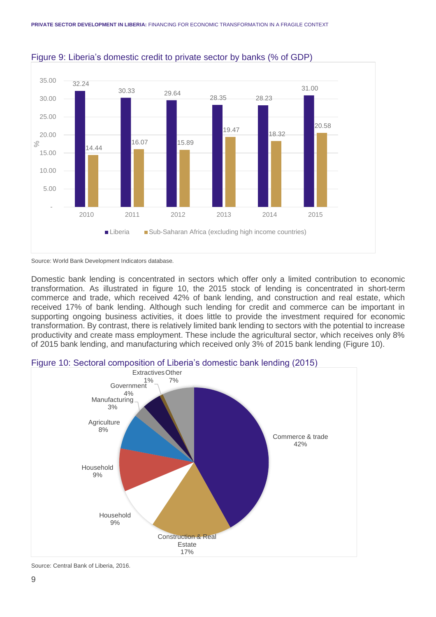

#### Figure 9: Liberia's domestic credit to private sector by banks (% of GDP)

Source: World Bank Development Indicators database.

Domestic bank lending is concentrated in sectors which offer only a limited contribution to economic transformation. As illustrated in figure 10, the 2015 stock of lending is concentrated in short-term commerce and trade, which received 42% of bank lending, and construction and real estate, which received 17% of bank lending. Although such lending for credit and commerce can be important in supporting ongoing business activities, it does little to provide the investment required for economic transformation. By contrast, there is relatively limited bank lending to sectors with the potential to increase productivity and create mass employment. These include the agricultural sector, which receives only 8% of 2015 bank lending, and manufacturing which received only 3% of 2015 bank lending (Figure 10).



Source: Central Bank of Liberia, 2016.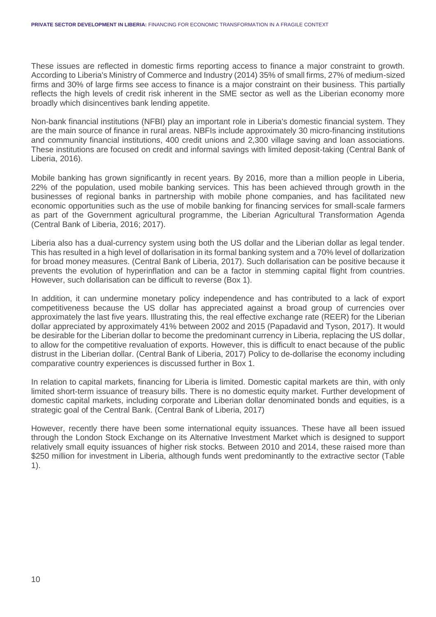These issues are reflected in domestic firms reporting access to finance a major constraint to growth. According to Liberia's Ministry of Commerce and Industry (2014) 35% of small firms, 27% of medium-sized firms and 30% of large firms see access to finance is a major constraint on their business. This partially reflects the high levels of credit risk inherent in the SME sector as well as the Liberian economy more broadly which disincentives bank lending appetite.

Non-bank financial institutions (NFBI) play an important role in Liberia's domestic financial system. They are the main source of finance in rural areas. NBFIs include approximately 30 micro-financing institutions and community financial institutions, 400 credit unions and 2,300 village saving and loan associations. These institutions are focused on credit and informal savings with limited deposit-taking (Central Bank of Liberia, 2016).

Mobile banking has grown significantly in recent years. By 2016, more than a million people in Liberia, 22% of the population, used mobile banking services. This has been achieved through growth in the businesses of regional banks in partnership with mobile phone companies, and has facilitated new economic opportunities such as the use of mobile banking for financing services for small-scale farmers as part of the Government agricultural programme, the Liberian Agricultural Transformation Agenda (Central Bank of Liberia, 2016; 2017).

Liberia also has a dual-currency system using both the US dollar and the Liberian dollar as legal tender. This has resulted in a high level of dollarisation in its formal banking system and a 70% level of dollarization for broad money measures. (Central Bank of Liberia, 2017). Such dollarisation can be positive because it prevents the evolution of hyperinflation and can be a factor in stemming capital flight from countries. However, such dollarisation can be difficult to reverse (Box 1).

In addition, it can undermine monetary policy independence and has contributed to a lack of export competitiveness because the US dollar has appreciated against a broad group of currencies over approximately the last five years. Illustrating this, the real effective exchange rate (REER) for the Liberian dollar appreciated by approximately 41% between 2002 and 2015 (Papadavid and Tyson, 2017). It would be desirable for the Liberian dollar to become the predominant currency in Liberia, replacing the US dollar, to allow for the competitive revaluation of exports. However, this is difficult to enact because of the public distrust in the Liberian dollar. (Central Bank of Liberia, 2017) Policy to de-dollarise the economy including comparative country experiences is discussed further in Box 1.

In relation to capital markets, financing for Liberia is limited. Domestic capital markets are thin, with only limited short-term issuance of treasury bills. There is no domestic equity market. Further development of domestic capital markets, including corporate and Liberian dollar denominated bonds and equities, is a strategic goal of the Central Bank. (Central Bank of Liberia, 2017)

However, recently there have been some international equity issuances. These have all been issued through the London Stock Exchange on its Alternative Investment Market which is designed to support relatively small equity issuances of higher risk stocks. Between 2010 and 2014, these raised more than \$250 million for investment in Liberia, although funds went predominantly to the extractive sector (Table 1).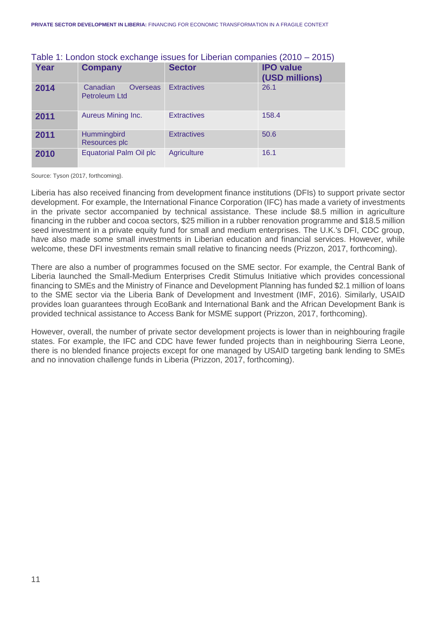| Year | <b>Company</b>                               | <b>Sector</b>      | <b>IPO</b> value<br>(USD millions) |
|------|----------------------------------------------|--------------------|------------------------------------|
| 2014 | <b>Overseas</b><br>Canadian<br>Petroleum Ltd | <b>Extractives</b> | 26.1                               |
| 2011 | Aureus Mining Inc.                           | <b>Extractives</b> | 158.4                              |
| 2011 | Hummingbird<br>Resources plc                 | <b>Extractives</b> | 50.6                               |
| 2010 | <b>Equatorial Palm Oil plc</b>               | <b>Agriculture</b> | 16.1                               |

#### Table 1: London stock exchange issues for Liberian companies (2010 – 2015)

Source: Tyson (2017, forthcoming).

Liberia has also received financing from development finance institutions (DFIs) to support private sector development. For example, the International Finance Corporation (IFC) has made a variety of investments in the private sector accompanied by technical assistance. These include \$8.5 million in agriculture financing in the rubber and cocoa sectors, \$25 million in a rubber renovation programme and \$18.5 million seed investment in a private equity fund for small and medium enterprises. The U.K.'s DFI, CDC group, have also made some small investments in Liberian education and financial services. However, while welcome, these DFI investments remain small relative to financing needs (Prizzon, 2017, forthcoming).

There are also a number of programmes focused on the SME sector. For example, the Central Bank of Liberia launched the Small-Medium Enterprises Credit Stimulus Initiative which provides concessional financing to SMEs and the Ministry of Finance and Development Planning has funded \$2.1 million of loans to the SME sector via the Liberia Bank of Development and Investment (IMF, 2016). Similarly, USAID provides loan guarantees through EcoBank and International Bank and the African Development Bank is provided technical assistance to Access Bank for MSME support (Prizzon, 2017, forthcoming).

However, overall, the number of private sector development projects is lower than in neighbouring fragile states. For example, the IFC and CDC have fewer funded projects than in neighbouring Sierra Leone, there is no blended finance projects except for one managed by USAID targeting bank lending to SMEs and no innovation challenge funds in Liberia (Prizzon, 2017, forthcoming).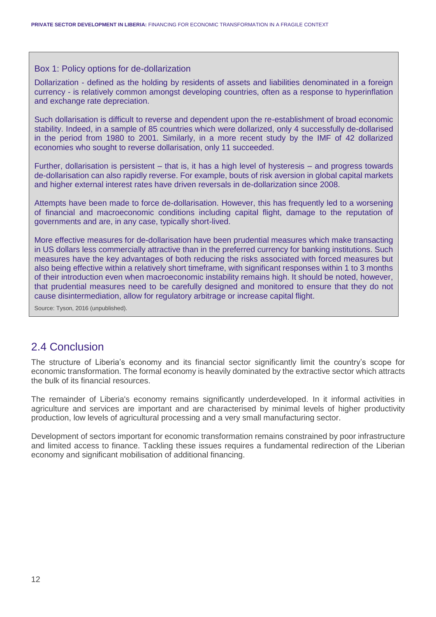#### Box 1: Policy options for de-dollarization

Dollarization - defined as the holding by residents of assets and liabilities denominated in a foreign currency - is relatively common amongst developing countries, often as a response to hyperinflation and exchange rate depreciation.

Such dollarisation is difficult to reverse and dependent upon the re-establishment of broad economic stability. Indeed, in a sample of 85 countries which were dollarized, only 4 successfully de-dollarised in the period from 1980 to 2001. Similarly, in a more recent study by the IMF of 42 dollarized economies who sought to reverse dollarisation, only 11 succeeded.

Further, dollarisation is persistent – that is, it has a high level of hysteresis – and progress towards de-dollarisation can also rapidly reverse. For example, bouts of risk aversion in global capital markets and higher external interest rates have driven reversals in de-dollarization since 2008.

Attempts have been made to force de-dollarisation. However, this has frequently led to a worsening of financial and macroeconomic conditions including capital flight, damage to the reputation of governments and are, in any case, typically short-lived.

More effective measures for de-dollarisation have been prudential measures which make transacting in US dollars less commercially attractive than in the preferred currency for banking institutions. Such measures have the key advantages of both reducing the risks associated with forced measures but also being effective within a relatively short timeframe, with significant responses within 1 to 3 months of their introduction even when macroeconomic instability remains high. It should be noted, however, that prudential measures need to be carefully designed and monitored to ensure that they do not cause disintermediation, allow for regulatory arbitrage or increase capital flight.

Source: Tyson, 2016 (unpublished).

### 2.4 Conclusion

The structure of Liberia's economy and its financial sector significantly limit the country's scope for economic transformation. The formal economy is heavily dominated by the extractive sector which attracts the bulk of its financial resources.

The remainder of Liberia's economy remains significantly underdeveloped. In it informal activities in agriculture and services are important and are characterised by minimal levels of higher productivity production, low levels of agricultural processing and a very small manufacturing sector.

Development of sectors important for economic transformation remains constrained by poor infrastructure and limited access to finance. Tackling these issues requires a fundamental redirection of the Liberian economy and significant mobilisation of additional financing.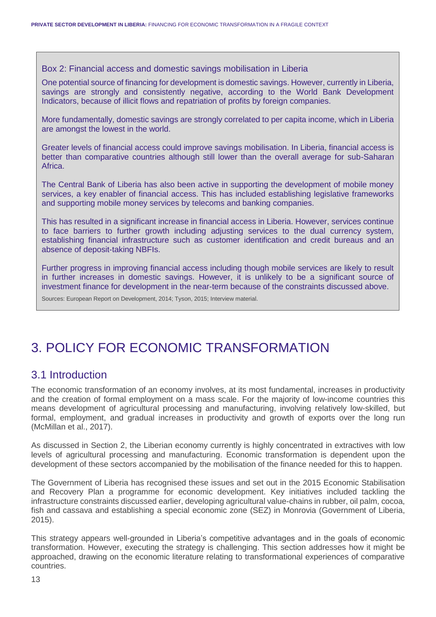Box 2: Financial access and domestic savings mobilisation in Liberia

One potential source of financing for development is domestic savings. However, currently in Liberia, savings are strongly and consistently negative, according to the World Bank Development Indicators, because of illicit flows and repatriation of profits by foreign companies.

More fundamentally, domestic savings are strongly correlated to per capita income, which in Liberia are amongst the lowest in the world.

Greater levels of financial access could improve savings mobilisation. In Liberia, financial access is better than comparative countries although still lower than the overall average for sub-Saharan Africa.

The Central Bank of Liberia has also been active in supporting the development of mobile money services, a key enabler of financial access. This has included establishing legislative frameworks and supporting mobile money services by telecoms and banking companies.

This has resulted in a significant increase in financial access in Liberia. However, services continue to face barriers to further growth including adjusting services to the dual currency system, establishing financial infrastructure such as customer identification and credit bureaus and an absence of deposit-taking NBFIs.

Further progress in improving financial access including though mobile services are likely to result in further increases in domestic savings. However, it is unlikely to be a significant source of investment finance for development in the near-term because of the constraints discussed above.

Sources: European Report on Development, 2014; Tyson, 2015; Interview material.

## 3. POLICY FOR ECONOMIC TRANSFORMATION

### 3.1 Introduction

The economic transformation of an economy involves, at its most fundamental, increases in productivity and the creation of formal employment on a mass scale. For the majority of low-income countries this means development of agricultural processing and manufacturing, involving relatively low-skilled, but formal, employment, and gradual increases in productivity and growth of exports over the long run (McMillan et al., 2017).

As discussed in Section 2, the Liberian economy currently is highly concentrated in extractives with low levels of agricultural processing and manufacturing. Economic transformation is dependent upon the development of these sectors accompanied by the mobilisation of the finance needed for this to happen.

The Government of Liberia has recognised these issues and set out in the 2015 Economic Stabilisation and Recovery Plan a programme for economic development. Key initiatives included tackling the infrastructure constraints discussed earlier, developing agricultural value-chains in rubber, oil palm, cocoa, fish and cassava and establishing a special economic zone (SEZ) in Monrovia (Government of Liberia, 2015).

This strategy appears well-grounded in Liberia's competitive advantages and in the goals of economic transformation. However, executing the strategy is challenging. This section addresses how it might be approached, drawing on the economic literature relating to transformational experiences of comparative countries.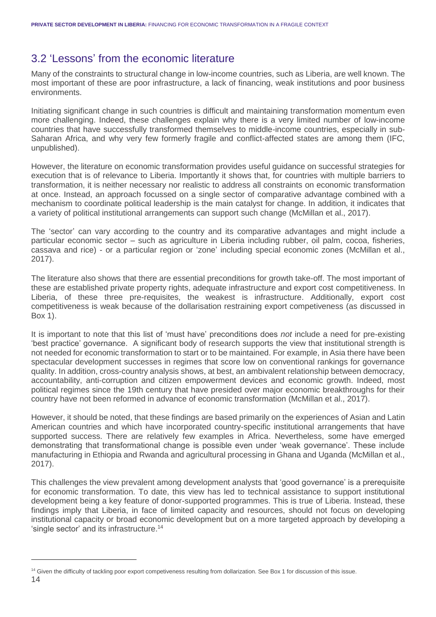### 3.2 'Lessons' from the economic literature

Many of the constraints to structural change in low-income countries, such as Liberia, are well known. The most important of these are poor infrastructure, a lack of financing, weak institutions and poor business environments.

Initiating significant change in such countries is difficult and maintaining transformation momentum even more challenging. Indeed, these challenges explain why there is a very limited number of low-income countries that have successfully transformed themselves to middle-income countries, especially in sub-Saharan Africa, and why very few formerly fragile and conflict-affected states are among them (IFC, unpublished).

However, the literature on economic transformation provides useful guidance on successful strategies for execution that is of relevance to Liberia. Importantly it shows that, for countries with multiple barriers to transformation, it is neither necessary nor realistic to address all constraints on economic transformation at once. Instead, an approach focussed on a single sector of comparative advantage combined with a mechanism to coordinate political leadership is the main catalyst for change. In addition, it indicates that a variety of political institutional arrangements can support such change (McMillan et al., 2017).

The 'sector' can vary according to the country and its comparative advantages and might include a particular economic sector – such as agriculture in Liberia including rubber, oil palm, cocoa, fisheries, cassava and rice) - or a particular region or 'zone' including special economic zones (McMillan et al., 2017).

The literature also shows that there are essential preconditions for growth take-off. The most important of these are established private property rights, adequate infrastructure and export cost competitiveness. In Liberia, of these three pre-requisites, the weakest is infrastructure. Additionally, export cost competitiveness is weak because of the dollarisation restraining export competiveness (as discussed in Box 1).

It is important to note that this list of 'must have' preconditions does *not* include a need for pre-existing 'best practice' governance. A significant body of research supports the view that institutional strength is not needed for economic transformation to start or to be maintained. For example, in Asia there have been spectacular development successes in regimes that score low on conventional rankings for governance quality. In addition, cross-country analysis shows, at best, an ambivalent relationship between democracy, accountability, anti-corruption and citizen empowerment devices and economic growth. Indeed, most political regimes since the 19th century that have presided over major economic breakthroughs for their country have not been reformed in advance of economic transformation (McMillan et al., 2017).

However, it should be noted, that these findings are based primarily on the experiences of Asian and Latin American countries and which have incorporated country-specific institutional arrangements that have supported success. There are relatively few examples in Africa. Nevertheless, some have emerged demonstrating that transformational change is possible even under 'weak governance'. These include manufacturing in Ethiopia and Rwanda and agricultural processing in Ghana and Uganda (McMillan et al., 2017).

This challenges the view prevalent among development analysts that 'good governance' is a prerequisite for economic transformation. To date, this view has led to technical assistance to support institutional development being a key feature of donor-supported programmes. This is true of Liberia. Instead, these findings imply that Liberia, in face of limited capacity and resources, should not focus on developing institutional capacity or broad economic development but on a more targeted approach by developing a 'single sector' and its infrastructure. 14

<sup>&</sup>lt;sup>14</sup> Given the difficulty of tackling poor export competiveness resulting from dollarization. See Box 1 for discussion of this issue.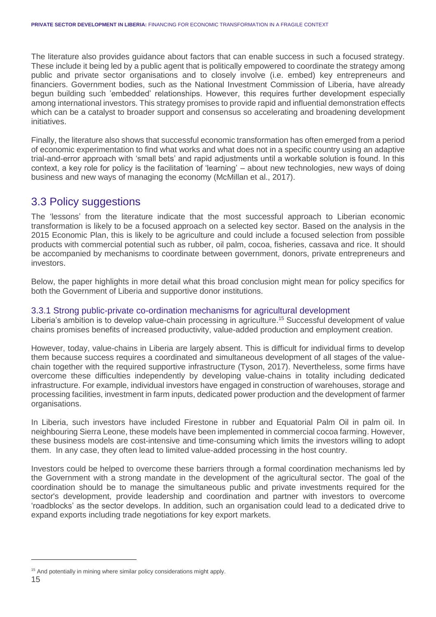The literature also provides guidance about factors that can enable success in such a focused strategy. These include it being led by a public agent that is politically empowered to coordinate the strategy among public and private sector organisations and to closely involve (i.e. embed) key entrepreneurs and financiers. Government bodies, such as the National Investment Commission of Liberia, have already begun building such 'embedded' relationships. However, this requires further development especially among international investors. This strategy promises to provide rapid and influential demonstration effects which can be a catalyst to broader support and consensus so accelerating and broadening development initiatives.

Finally, the literature also shows that successful economic transformation has often emerged from a period of economic experimentation to find what works and what does not in a specific country using an adaptive trial-and-error approach with 'small bets' and rapid adjustments until a workable solution is found. In this context, a key role for policy is the facilitation of 'learning' – about new technologies, new ways of doing business and new ways of managing the economy (McMillan et al., 2017).

### 3.3 Policy suggestions

The 'lessons' from the literature indicate that the most successful approach to Liberian economic transformation is likely to be a focused approach on a selected key sector. Based on the analysis in the 2015 Economic Plan, this is likely to be agriculture and could include a focused selection from possible products with commercial potential such as rubber, oil palm, cocoa, fisheries, cassava and rice. It should be accompanied by mechanisms to coordinate between government, donors, private entrepreneurs and investors.

Below, the paper highlights in more detail what this broad conclusion might mean for policy specifics for both the Government of Liberia and supportive donor institutions.

#### 3.3.1 Strong public-private co-ordination mechanisms for agricultural development

Liberia's ambition is to develop value-chain processing in agriculture. <sup>15</sup> Successful development of value chains promises benefits of increased productivity, value-added production and employment creation.

However, today, value-chains in Liberia are largely absent. This is difficult for individual firms to develop them because success requires a coordinated and simultaneous development of all stages of the valuechain together with the required supportive infrastructure (Tyson, 2017). Nevertheless, some firms have overcome these difficulties independently by developing value-chains in totality including dedicated infrastructure. For example, individual investors have engaged in construction of warehouses, storage and processing facilities, investment in farm inputs, dedicated power production and the development of farmer organisations.

In Liberia, such investors have included Firestone in rubber and Equatorial Palm Oil in palm oil. In neighbouring Sierra Leone, these models have been implemented in commercial cocoa farming. However, these business models are cost-intensive and time-consuming which limits the investors willing to adopt them. In any case, they often lead to limited value-added processing in the host country.

Investors could be helped to overcome these barriers through a formal coordination mechanisms led by the Government with a strong mandate in the development of the agricultural sector. The goal of the coordination should be to manage the simultaneous public and private investments required for the sector's development, provide leadership and coordination and partner with investors to overcome 'roadblocks' as the sector develops. In addition, such an organisation could lead to a dedicated drive to expand exports including trade negotiations for key export markets.

<sup>&</sup>lt;sup>15</sup> And potentially in mining where similar policy considerations might apply.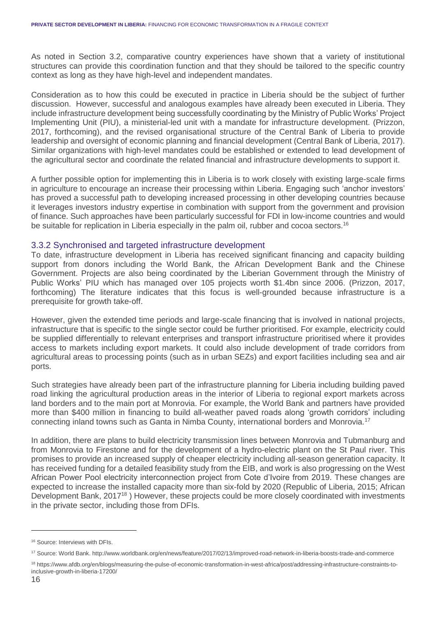As noted in Section 3.2, comparative country experiences have shown that a variety of institutional structures can provide this coordination function and that they should be tailored to the specific country context as long as they have high-level and independent mandates.

Consideration as to how this could be executed in practice in Liberia should be the subject of further discussion. However, successful and analogous examples have already been executed in Liberia. They include infrastructure development being successfully coordinating by the Ministry of Public Works' Project Implementing Unit (PIU), a ministerial-led unit with a mandate for infrastructure development. (Prizzon, 2017, forthcoming), and the revised organisational structure of the Central Bank of Liberia to provide leadership and oversight of economic planning and financial development (Central Bank of Liberia, 2017). Similar organizations with high-level mandates could be established or extended to lead development of the agricultural sector and coordinate the related financial and infrastructure developments to support it.

A further possible option for implementing this in Liberia is to work closely with existing large-scale firms in agriculture to encourage an increase their processing within Liberia. Engaging such 'anchor investors' has proved a successful path to developing increased processing in other developing countries because it leverages investors industry expertise in combination with support from the government and provision of finance. Such approaches have been particularly successful for FDI in low-income countries and would be suitable for replication in Liberia especially in the palm oil, rubber and cocoa sectors.<sup>16</sup>

#### 3.3.2 Synchronised and targeted infrastructure development

To date, infrastructure development in Liberia has received significant financing and capacity building support from donors including the World Bank, the African Development Bank and the Chinese Government. Projects are also being coordinated by the Liberian Government through the Ministry of Public Works' PIU which has managed over 105 projects worth \$1.4bn since 2006. (Prizzon, 2017, forthcoming) The literature indicates that this focus is well-grounded because infrastructure is a prerequisite for growth take-off.

However, given the extended time periods and large-scale financing that is involved in national projects, infrastructure that is specific to the single sector could be further prioritised. For example, electricity could be supplied differentially to relevant enterprises and transport infrastructure prioritised where it provides access to markets including export markets. It could also include development of trade corridors from agricultural areas to processing points (such as in urban SEZs) and export facilities including sea and air ports.

Such strategies have already been part of the infrastructure planning for Liberia including building paved road linking the agricultural production areas in the interior of Liberia to regional export markets across land borders and to the main port at Monrovia. For example, the World Bank and partners have provided more than \$400 million in financing to build all-weather paved roads along 'growth corridors' including connecting inland towns such as Ganta in Nimba County, international borders and Monrovia.<sup>17</sup>

In addition, there are plans to build electricity transmission lines between Monrovia and Tubmanburg and from Monrovia to Firestone and for the development of a hydro-electric plant on the St Paul river. This promises to provide an increased supply of cheaper electricity including all-season generation capacity. It has received funding for a detailed feasibility study from the EIB, and work is also progressing on the West African Power Pool electricity interconnection project from Cote d'Ivoire from 2019. These changes are expected to increase the installed capacity more than six-fold by 2020 (Republic of Liberia, 2015; African Development Bank, 2017<sup>18</sup>) However, these projects could be more closely coordinated with investments in the private sector, including those from DFIs.

<sup>16</sup> Source: Interviews with DFIs.

<sup>17</sup> Source: World Bank. http://www.worldbank.org/en/news/feature/2017/02/13/improved-road-network-in-liberia-boosts-trade-and-commerce

<sup>18</sup> https://www.afdb.org/en/blogs/measuring-the-pulse-of-economic-transformation-in-west-africa/post/addressing-infrastructure-constraints-toinclusive-growth-in-liberia-17200/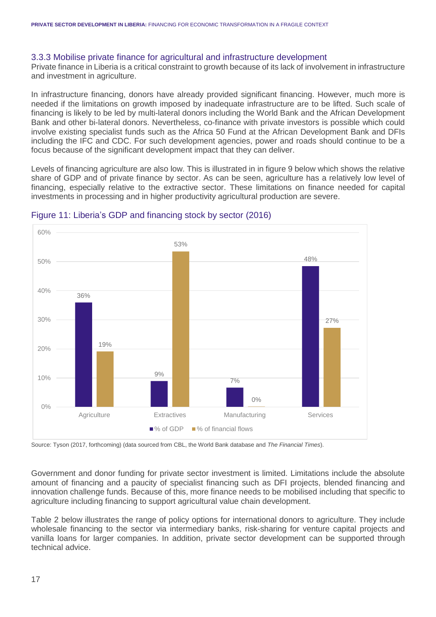#### 3.3.3 Mobilise private finance for agricultural and infrastructure development

Private finance in Liberia is a critical constraint to growth because of its lack of involvement in infrastructure and investment in agriculture.

In infrastructure financing, donors have already provided significant financing. However, much more is needed if the limitations on growth imposed by inadequate infrastructure are to be lifted. Such scale of financing is likely to be led by multi-lateral donors including the World Bank and the African Development Bank and other bi-lateral donors. Nevertheless, co-finance with private investors is possible which could involve existing specialist funds such as the Africa 50 Fund at the African Development Bank and DFIs including the IFC and CDC. For such development agencies, power and roads should continue to be a focus because of the significant development impact that they can deliver.

Levels of financing agriculture are also low. This is illustrated in in figure 9 below which shows the relative share of GDP and of private finance by sector. As can be seen, agriculture has a relatively low level of financing, especially relative to the extractive sector. These limitations on finance needed for capital investments in processing and in higher productivity agricultural production are severe.



#### Figure 11: Liberia's GDP and financing stock by sector (2016)

Source: Tyson (2017, forthcoming) (data sourced from CBL, the World Bank database and *The Financial Times*).

Government and donor funding for private sector investment is limited. Limitations include the absolute amount of financing and a paucity of specialist financing such as DFI projects, blended financing and innovation challenge funds. Because of this, more finance needs to be mobilised including that specific to agriculture including financing to support agricultural value chain development.

Table 2 below illustrates the range of policy options for international donors to agriculture. They include wholesale financing to the sector via intermediary banks, risk-sharing for venture capital projects and vanilla loans for larger companies. In addition, private sector development can be supported through technical advice.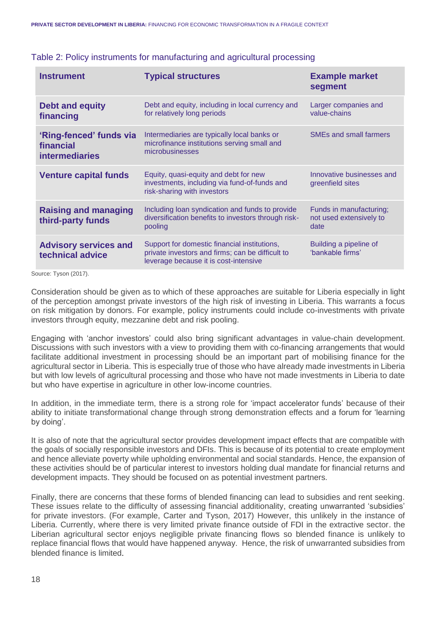| <b>Instrument</b>                                             | <b>Typical structures</b>                                                                                                                 | <b>Example market</b><br>segment                           |
|---------------------------------------------------------------|-------------------------------------------------------------------------------------------------------------------------------------------|------------------------------------------------------------|
| <b>Debt and equity</b><br>financing                           | Debt and equity, including in local currency and<br>for relatively long periods                                                           | Larger companies and<br>value-chains                       |
| 'Ring-fenced' funds via<br>financial<br><b>intermediaries</b> | Intermediaries are typically local banks or<br>microfinance institutions serving small and<br>microbusinesses                             | <b>SMEs and small farmers</b>                              |
| <b>Venture capital funds</b>                                  | Equity, quasi-equity and debt for new<br>investments, including via fund-of-funds and<br>risk-sharing with investors                      | Innovative businesses and<br>greenfield sites              |
| <b>Raising and managing</b><br>third-party funds              | Including loan syndication and funds to provide<br>diversification benefits to investors through risk-<br>pooling                         | Funds in manufacturing;<br>not used extensively to<br>date |
| <b>Advisory services and</b><br>technical advice              | Support for domestic financial institutions,<br>private investors and firms; can be difficult to<br>leverage because it is cost-intensive | Building a pipeline of<br>'bankable firms'                 |

#### Table 2: Policy instruments for manufacturing and agricultural processing

Source: Tyson (2017).

Consideration should be given as to which of these approaches are suitable for Liberia especially in light of the perception amongst private investors of the high risk of investing in Liberia. This warrants a focus on risk mitigation by donors. For example, policy instruments could include co-investments with private investors through equity, mezzanine debt and risk pooling.

Engaging with 'anchor investors' could also bring significant advantages in value-chain development. Discussions with such investors with a view to providing them with co-financing arrangements that would facilitate additional investment in processing should be an important part of mobilising finance for the agricultural sector in Liberia. This is especially true of those who have already made investments in Liberia but with low levels of agricultural processing and those who have not made investments in Liberia to date but who have expertise in agriculture in other low-income countries.

In addition, in the immediate term, there is a strong role for 'impact accelerator funds' because of their ability to initiate transformational change through strong demonstration effects and a forum for 'learning by doing'.

It is also of note that the agricultural sector provides development impact effects that are compatible with the goals of socially responsible investors and DFIs. This is because of its potential to create employment and hence alleviate poverty while upholding environmental and social standards. Hence, the expansion of these activities should be of particular interest to investors holding dual mandate for financial returns and development impacts. They should be focused on as potential investment partners.

Finally, there are concerns that these forms of blended financing can lead to subsidies and rent seeking. These issues relate to the difficulty of assessing financial additionality, creating unwarranted 'subsidies' for private investors. (For example, Carter and Tyson, 2017) However, this unlikely in the instance of Liberia. Currently, where there is very limited private finance outside of FDI in the extractive sector. the Liberian agricultural sector enjoys negligible private financing flows so blended finance is unlikely to replace financial flows that would have happened anyway. Hence, the risk of unwarranted subsidies from blended finance is limited.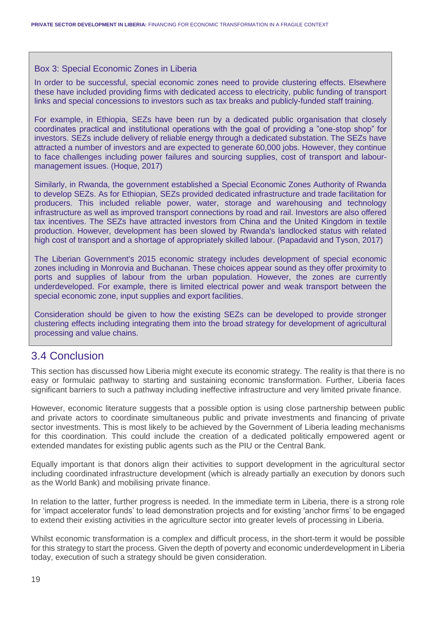#### Box 3: Special Economic Zones in Liberia

In order to be successful, special economic zones need to provide clustering effects. Elsewhere these have included providing firms with dedicated access to electricity, public funding of transport links and special concessions to investors such as tax breaks and publicly-funded staff training.

For example, in Ethiopia, SEZs have been run by a dedicated public organisation that closely coordinates practical and institutional operations with the goal of providing a "one-stop shop" for investors. SEZs include delivery of reliable energy through a dedicated substation. The SEZs have attracted a number of investors and are expected to generate 60,000 jobs. However, they continue to face challenges including power failures and sourcing supplies, cost of transport and labourmanagement issues. (Hoque, 2017)

Similarly, in Rwanda, the government established a Special Economic Zones Authority of Rwanda to develop SEZs. As for Ethiopian, SEZs provided dedicated infrastructure and trade facilitation for producers. This included reliable power, water, storage and warehousing and technology infrastructure as well as improved transport connections by road and rail. Investors are also offered tax incentives. The SEZs have attracted investors from China and the United Kingdom in textile production. However, development has been slowed by Rwanda's landlocked status with related high cost of transport and a shortage of appropriately skilled labour. (Papadavid and Tyson, 2017)

The Liberian Government's 2015 economic strategy includes development of special economic zones including in Monrovia and Buchanan. These choices appear sound as they offer proximity to ports and supplies of labour from the urban population. However, the zones are currently underdeveloped. For example, there is limited electrical power and weak transport between the special economic zone, input supplies and export facilities.

Consideration should be given to how the existing SEZs can be developed to provide stronger clustering effects including integrating them into the broad strategy for development of agricultural processing and value chains.

### 3.4 Conclusion

This section has discussed how Liberia might execute its economic strategy. The reality is that there is no easy or formulaic pathway to starting and sustaining economic transformation. Further, Liberia faces significant barriers to such a pathway including ineffective infrastructure and very limited private finance.

However, economic literature suggests that a possible option is using close partnership between public and private actors to coordinate simultaneous public and private investments and financing of private sector investments. This is most likely to be achieved by the Government of Liberia leading mechanisms for this coordination. This could include the creation of a dedicated politically empowered agent or extended mandates for existing public agents such as the PIU or the Central Bank.

Equally important is that donors align their activities to support development in the agricultural sector including coordinated infrastructure development (which is already partially an execution by donors such as the World Bank) and mobilising private finance.

In relation to the latter, further progress is needed. In the immediate term in Liberia, there is a strong role for 'impact accelerator funds' to lead demonstration projects and for existing 'anchor firms' to be engaged to extend their existing activities in the agriculture sector into greater levels of processing in Liberia.

Whilst economic transformation is a complex and difficult process, in the short-term it would be possible for this strategy to start the process. Given the depth of poverty and economic underdevelopment in Liberia today, execution of such a strategy should be given consideration.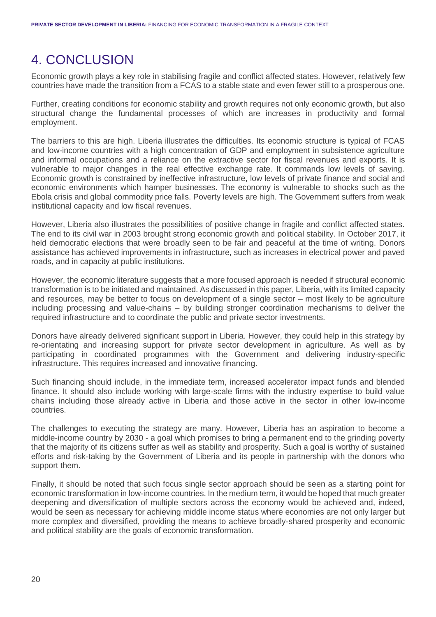## 4. CONCLUSION

Economic growth plays a key role in stabilising fragile and conflict affected states. However, relatively few countries have made the transition from a FCAS to a stable state and even fewer still to a prosperous one.

Further, creating conditions for economic stability and growth requires not only economic growth, but also structural change the fundamental processes of which are increases in productivity and formal employment.

The barriers to this are high. Liberia illustrates the difficulties. Its economic structure is typical of FCAS and low-income countries with a high concentration of GDP and employment in subsistence agriculture and informal occupations and a reliance on the extractive sector for fiscal revenues and exports. It is vulnerable to major changes in the real effective exchange rate. It commands low levels of saving. Economic growth is constrained by ineffective infrastructure, low levels of private finance and social and economic environments which hamper businesses. The economy is vulnerable to shocks such as the Ebola crisis and global commodity price falls. Poverty levels are high. The Government suffers from weak institutional capacity and low fiscal revenues.

However, Liberia also illustrates the possibilities of positive change in fragile and conflict affected states. The end to its civil war in 2003 brought strong economic growth and political stability. In October 2017, it held democratic elections that were broadly seen to be fair and peaceful at the time of writing. Donors assistance has achieved improvements in infrastructure, such as increases in electrical power and paved roads, and in capacity at public institutions.

However, the economic literature suggests that a more focused approach is needed if structural economic transformation is to be initiated and maintained. As discussed in this paper, Liberia, with its limited capacity and resources, may be better to focus on development of a single sector – most likely to be agriculture including processing and value-chains – by building stronger coordination mechanisms to deliver the required infrastructure and to coordinate the public and private sector investments.

Donors have already delivered significant support in Liberia. However, they could help in this strategy by re-orientating and increasing support for private sector development in agriculture. As well as by participating in coordinated programmes with the Government and delivering industry-specific infrastructure. This requires increased and innovative financing.

Such financing should include, in the immediate term, increased accelerator impact funds and blended finance. It should also include working with large-scale firms with the industry expertise to build value chains including those already active in Liberia and those active in the sector in other low-income countries.

The challenges to executing the strategy are many. However, Liberia has an aspiration to become a middle-income country by 2030 - a goal which promises to bring a permanent end to the grinding poverty that the majority of its citizens suffer as well as stability and prosperity. Such a goal is worthy of sustained efforts and risk-taking by the Government of Liberia and its people in partnership with the donors who support them.

Finally, it should be noted that such focus single sector approach should be seen as a starting point for economic transformation in low-income countries. In the medium term, it would be hoped that much greater deepening and diversification of multiple sectors across the economy would be achieved and, indeed, would be seen as necessary for achieving middle income status where economies are not only larger but more complex and diversified, providing the means to achieve broadly-shared prosperity and economic and political stability are the goals of economic transformation.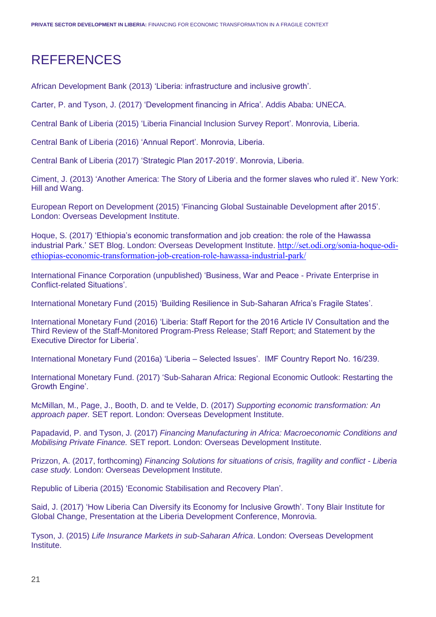## REFERENCES

African Development Bank (2013) 'Liberia: infrastructure and inclusive growth'.

Carter, P. and Tyson, J. (2017) 'Development financing in Africa'. Addis Ababa: UNECA.

Central Bank of Liberia (2015) 'Liberia Financial Inclusion Survey Report'. Monrovia, Liberia.

Central Bank of Liberia (2016) 'Annual Report'. Monrovia, Liberia.

Central Bank of Liberia (2017) 'Strategic Plan 2017-2019'. Monrovia, Liberia.

Ciment, J. (2013) 'Another America: The Story of Liberia and the former slaves who ruled it'. New York: Hill and Wang.

European Report on Development (2015) 'Financing Global Sustainable Development after 2015'. London: Overseas Development Institute.

Hoque, S. (2017) 'Ethiopia's economic transformation and job creation: the role of the Hawassa industrial Park.' SET Blog. London: Overseas Development Institute. [http://set.odi.org/sonia-hoque-odi](http://set.odi.org/sonia-hoque-odi-ethiopias-economic-transformation-job-creation-role-hawassa-industrial-park/)[ethiopias-economic-transformation-job-creation-role-hawassa-industrial-park/](http://set.odi.org/sonia-hoque-odi-ethiopias-economic-transformation-job-creation-role-hawassa-industrial-park/)

International Finance Corporation (unpublished) 'Business, War and Peace - Private Enterprise in Conflict-related Situations'.

International Monetary Fund (2015) 'Building Resilience in Sub-Saharan Africa's Fragile States'.

International Monetary Fund (2016) 'Liberia: Staff Report for the 2016 Article IV Consultation and the Third Review of the Staff-Monitored Program-Press Release; Staff Report; and Statement by the Executive Director for Liberia'.

International Monetary Fund (2016a) 'Liberia – Selected Issues'. IMF Country Report No. 16/239.

International Monetary Fund. (2017) 'Sub-Saharan Africa: Regional Economic Outlook: Restarting the Growth Engine'.

McMillan, M., Page, J., Booth, D. and te Velde, D. (2017) *Supporting economic transformation: An approach paper.* SET report. London: Overseas Development Institute.

Papadavid, P. and Tyson, J. (2017) *Financing Manufacturing in Africa: Macroeconomic Conditions and Mobilising Private Finance.* SET report. London: Overseas Development Institute.

Prizzon, A. (2017, forthcoming) *Financing Solutions for situations of crisis, fragility and conflict - Liberia case study.* London: Overseas Development Institute.

Republic of Liberia (2015) 'Economic Stabilisation and Recovery Plan'.

Said, J. (2017) 'How Liberia Can Diversify its Economy for Inclusive Growth'. Tony Blair Institute for Global Change, Presentation at the Liberia Development Conference, Monrovia.

Tyson, J. (2015) *Life Insurance Markets in sub-Saharan Africa*. London: Overseas Development Institute.